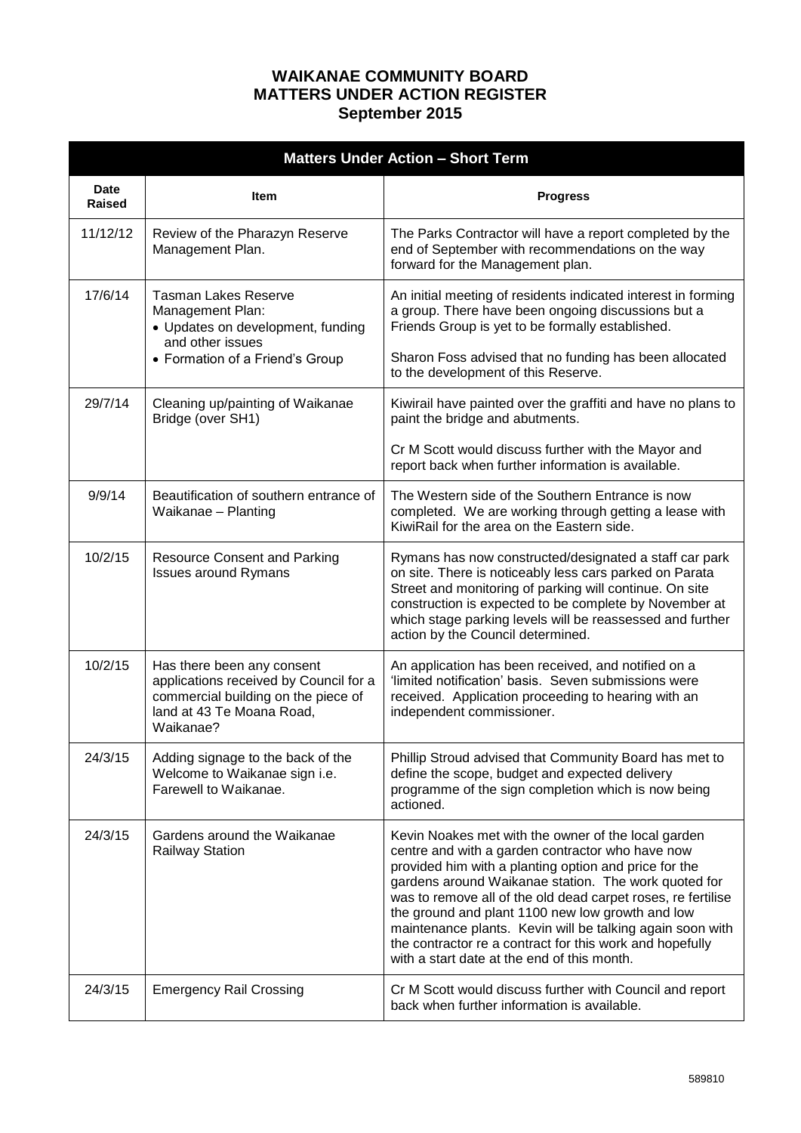## **WAIKANAE COMMUNITY BOARD MATTERS UNDER ACTION REGISTER September 2015**

| <b>Matters Under Action - Short Term</b> |                                                                                                                                                       |                                                                                                                                                                                                                                                                                                                                                                                                                                                                                                                      |
|------------------------------------------|-------------------------------------------------------------------------------------------------------------------------------------------------------|----------------------------------------------------------------------------------------------------------------------------------------------------------------------------------------------------------------------------------------------------------------------------------------------------------------------------------------------------------------------------------------------------------------------------------------------------------------------------------------------------------------------|
| <b>Date</b><br>Raised                    | Item                                                                                                                                                  | <b>Progress</b>                                                                                                                                                                                                                                                                                                                                                                                                                                                                                                      |
| 11/12/12                                 | Review of the Pharazyn Reserve<br>Management Plan.                                                                                                    | The Parks Contractor will have a report completed by the<br>end of September with recommendations on the way<br>forward for the Management plan.                                                                                                                                                                                                                                                                                                                                                                     |
| 17/6/14                                  | Tasman Lakes Reserve<br>Management Plan:<br>• Updates on development, funding<br>and other issues<br>• Formation of a Friend's Group                  | An initial meeting of residents indicated interest in forming<br>a group. There have been ongoing discussions but a<br>Friends Group is yet to be formally established.<br>Sharon Foss advised that no funding has been allocated<br>to the development of this Reserve.                                                                                                                                                                                                                                             |
| 29/7/14                                  | Cleaning up/painting of Waikanae<br>Bridge (over SH1)                                                                                                 | Kiwirail have painted over the graffiti and have no plans to<br>paint the bridge and abutments.                                                                                                                                                                                                                                                                                                                                                                                                                      |
|                                          |                                                                                                                                                       | Cr M Scott would discuss further with the Mayor and<br>report back when further information is available.                                                                                                                                                                                                                                                                                                                                                                                                            |
| 9/9/14                                   | Beautification of southern entrance of<br>Waikanae - Planting                                                                                         | The Western side of the Southern Entrance is now<br>completed. We are working through getting a lease with<br>KiwiRail for the area on the Eastern side.                                                                                                                                                                                                                                                                                                                                                             |
| 10/2/15                                  | <b>Resource Consent and Parking</b><br><b>Issues around Rymans</b>                                                                                    | Rymans has now constructed/designated a staff car park<br>on site. There is noticeably less cars parked on Parata<br>Street and monitoring of parking will continue. On site<br>construction is expected to be complete by November at<br>which stage parking levels will be reassessed and further<br>action by the Council determined.                                                                                                                                                                             |
| 10/2/15                                  | Has there been any consent<br>applications received by Council for a<br>commercial building on the piece of<br>land at 43 Te Moana Road,<br>Waikanae? | An application has been received, and notified on a<br>'limited notification' basis. Seven submissions were<br>received. Application proceeding to hearing with an<br>independent commissioner.                                                                                                                                                                                                                                                                                                                      |
| 24/3/15                                  | Adding signage to the back of the<br>Welcome to Waikanae sign i.e.<br>Farewell to Waikanae.                                                           | Phillip Stroud advised that Community Board has met to<br>define the scope, budget and expected delivery<br>programme of the sign completion which is now being<br>actioned.                                                                                                                                                                                                                                                                                                                                         |
| 24/3/15                                  | Gardens around the Waikanae<br><b>Railway Station</b>                                                                                                 | Kevin Noakes met with the owner of the local garden<br>centre and with a garden contractor who have now<br>provided him with a planting option and price for the<br>gardens around Waikanae station. The work quoted for<br>was to remove all of the old dead carpet roses, re fertilise<br>the ground and plant 1100 new low growth and low<br>maintenance plants. Kevin will be talking again soon with<br>the contractor re a contract for this work and hopefully<br>with a start date at the end of this month. |
| 24/3/15                                  | <b>Emergency Rail Crossing</b>                                                                                                                        | Cr M Scott would discuss further with Council and report<br>back when further information is available.                                                                                                                                                                                                                                                                                                                                                                                                              |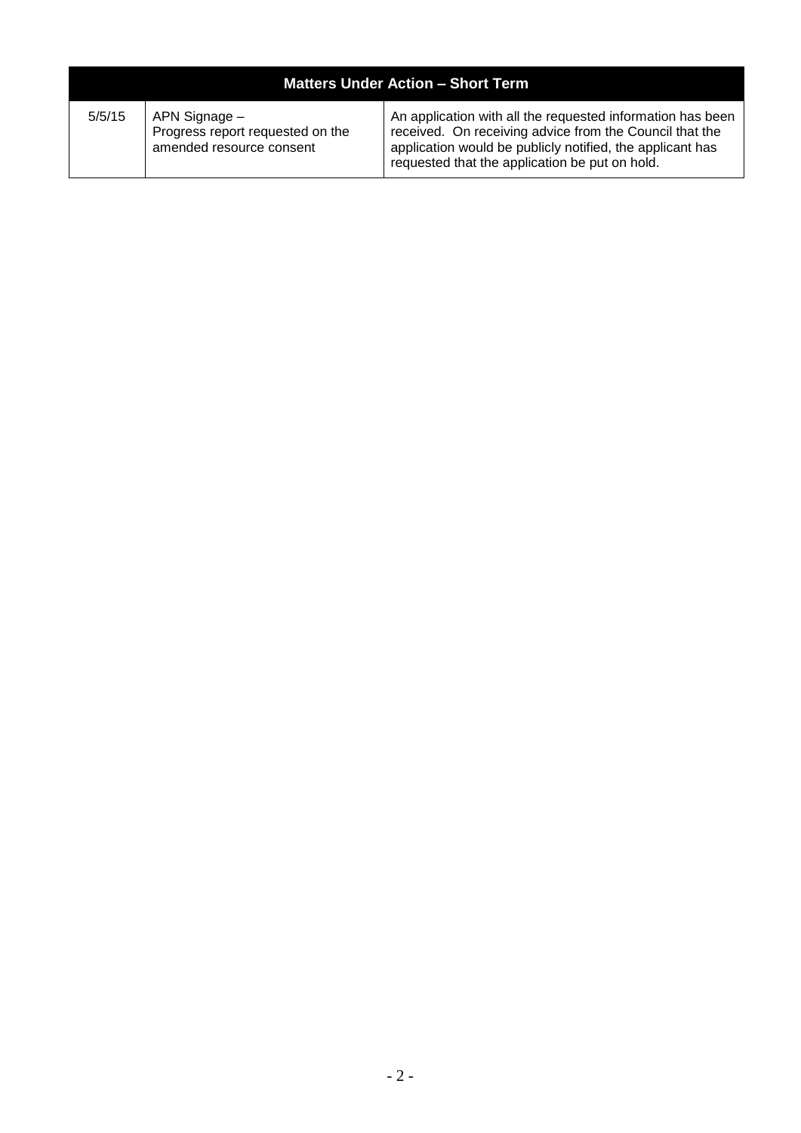| <b>Matters Under Action - Short Term</b> |                                                                               |                                                                                                                                                                                                                                      |
|------------------------------------------|-------------------------------------------------------------------------------|--------------------------------------------------------------------------------------------------------------------------------------------------------------------------------------------------------------------------------------|
| 5/5/15                                   | APN Signage –<br>Progress report requested on the<br>amended resource consent | An application with all the requested information has been<br>received. On receiving advice from the Council that the<br>application would be publicly notified, the applicant has<br>requested that the application be put on hold. |